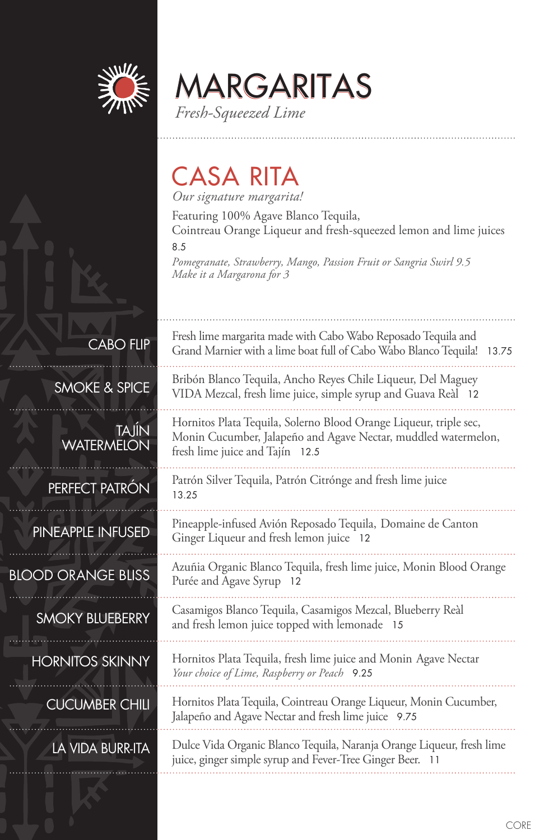

MARGARITAS *Fresh-Squeezed Lime*

# CASA RITA

*Our signature margarita!*

Purée and Agave Syrup 12

Featuring 100% Agave Blanco Tequila, Cointreau Orange Liqueur and fresh-squeezed lemon and lime juices

8.5

*Pomegranate, Strawberry, Mango, Passion Fruit or Sangria Swirl 9.5 Make it a Margarona for 3*

| <b>CABO FLIP</b> |  |  |
|------------------|--|--|
|                  |  |  |

SMOKE & SPICE

TAJÍN **WATERMELON** 

### PERFECT PATRÓN

PINEAPPLE INFUSED

### BLOOD ORANGE BLISS

### SMOKY BLUEBERRY

HORNITOS SKINNY

CUCUMBER CHILI

# LA VIDA BURR-ITA

| Fresh lime margarita made with Cabo Wabo Reposado Tequila and<br>Grand Marnier with a lime boat full of Cabo Wabo Blanco Tequila!<br>13.75                             |
|------------------------------------------------------------------------------------------------------------------------------------------------------------------------|
| Bribón Blanco Tequila, Ancho Reyes Chile Liqueur, Del Maguey<br>VIDA Mezcal, fresh lime juice, simple syrup and Guava Reàl 12                                          |
| Hornitos Plata Tequila, Solerno Blood Orange Liqueur, triple sec,<br>Monin Cucumber, Jalapeño and Agave Nectar, muddled watermelon,<br>fresh lime juice and Tajín 12.5 |
| Patrón Silver Tequila, Patrón Citrónge and fresh lime juice<br>13.25                                                                                                   |
| Pineapple-infused Avión Reposado Tequila, Domaine de Canton<br>Ginger Liqueur and fresh lemon juice 12                                                                 |
| Azuñia Organic Blanco Tequila, fresh lime juice, Monin Blood Orange                                                                                                    |

Casamigos Blanco Tequila, Casamigos Mezcal, Blueberry Reàl and fresh lemon juice topped with lemonade 15

Hornitos Plata Tequila, fresh lime juice and Monin Agave Nectar *Your choice of Lime, Raspberry or Peach* 9.25

Hornitos Plata Tequila, Cointreau Orange Liqueur, Monin Cucumber, Jalapeño and Agave Nectar and fresh lime juice 9.75

Dulce Vida Organic Blanco Tequila, Naranja Orange Liqueur, fresh lime juice, ginger simple syrup and Fever-Tree Ginger Beer. 11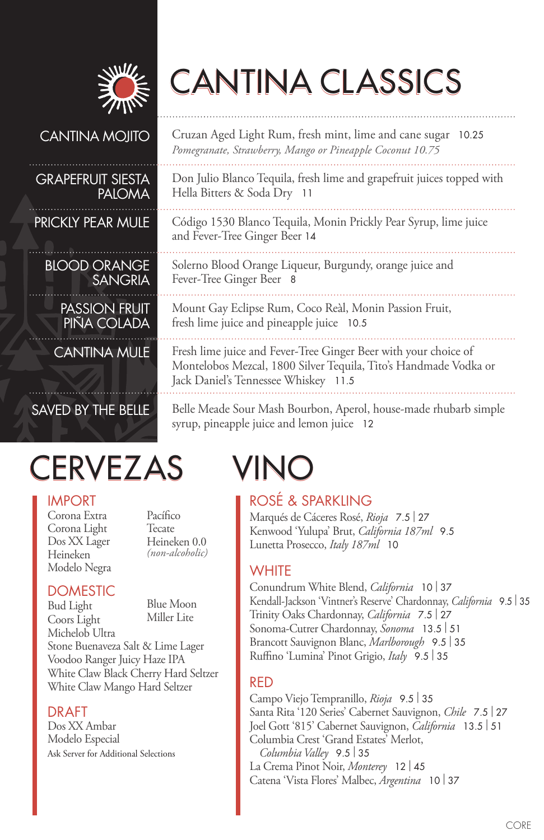

# CANTINA CLASSICS

### CANTINA MOJITO

#### GRAPEFRUIT SIESTA PALOMA

PRICKLY PEAR MULE

BLOOD ORANGE SANGRIA

PASSION FRUIT PINA COLADA

CANTINA MULE

# SAVED BY THE BELLE

# CERVEZAS VINO

#### IMPORT

Corona Extra Corona Light Dos XX Lager Heineken Modelo Negra

Pacífico Tecate Heineken 0.0 *(non-alcoholic)*

### **DOMESTIC**

Bud Light Coors Light Blue Moon Miller Lite

Michelob Ultra Stone Buenaveza Salt & Lime Lager Voodoo Ranger Juicy Haze IPA White Claw Black Cherry Hard Seltzer White Claw Mango Hard Seltzer

### DRAFT

Dos XX Ambar Modelo Especial Ask Server for Additional Selections

Cruzan Aged Light Rum, fresh mint, lime and cane sugar 10.25 *Pomegranate, Strawberry, Mango or Pineapple Coconut 10.75*

Don Julio Blanco Tequila, fresh lime and grapefruit juices topped with Hella Bitters & Soda Dry 11

Código 1530 Blanco Tequila, Monin Prickly Pear Syrup, lime juice and Fever-Tree Ginger Beer 14

Solerno Blood Orange Liqueur, Burgundy, orange juice and Fever-Tree Ginger Beer 8

Mount Gay Eclipse Rum, Coco Reàl, Monin Passion Fruit, fresh lime juice and pineapple juice 10.5

Fresh lime juice and Fever-Tree Ginger Beer with your choice of Montelobos Mezcal, 1800 Silver Tequila, Tito's Handmade Vodka or Jack Daniel's Tennessee Whiskey 11.5

Belle Meade Sour Mash Bourbon, Aperol, house-made rhubarb simple syrup, pineapple juice and lemon juice 12

# ROSÉ & SPARKLING

Marqués de Cáceres Rosé, *Rioja* 7.5 | <sup>27</sup> Kenwood 'Yulupa' Brut, *California 187ml* 9.5 Lunetta Prosecco, *Italy 187ml* 10

### **WHITE**

Conundrum White Blend, *California* <sup>10</sup>| <sup>37</sup> Kendall-Jackson 'Vintner's Reserve' Chardonnay, *California* 9.5 | <sup>35</sup> Trinity Oaks Chardonnay, *California* 7.5 | <sup>27</sup> Sonoma-Cutrer Chardonnay, *Sonoma* 13.5 | <sup>51</sup> Brancott Sauvignon Blanc, *Marlborough* 9.5 | <sup>35</sup> Ruffino 'Lumina' Pinot Grigio, *Italy* 9.5 | <sup>35</sup>

# RED

Campo Viejo Tempranillo, *Rioja* 9.5 | <sup>35</sup> Santa Rita '120 Series' Cabernet Sauvignon, *Chile* 7.5 | <sup>27</sup> Joel Gott '815' Cabernet Sauvignon, *California* 13.5 | <sup>51</sup> Columbia Crest 'Grand Estates' Merlot, *Columbia Valley* 9.5 | <sup>35</sup> La Crema Pinot Noir, *Monterey* <sup>12</sup>| <sup>45</sup> Catena 'Vista Flores' Malbec, *Argentina* <sup>10</sup>| <sup>37</sup>